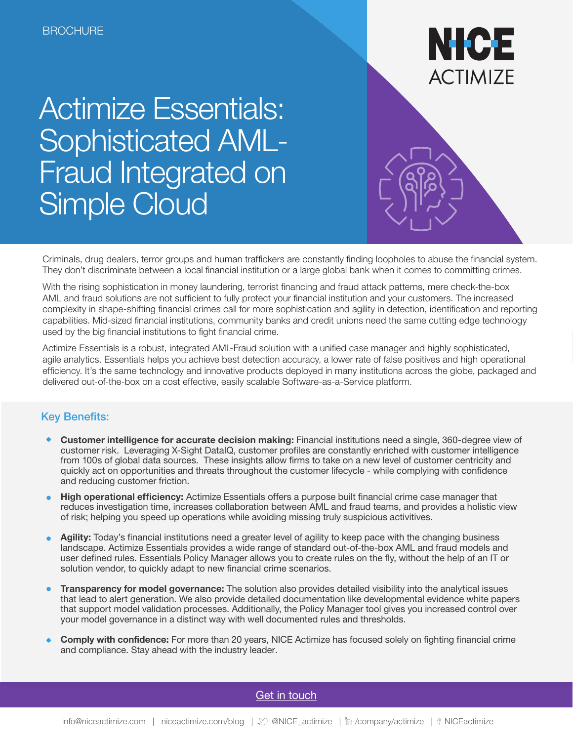

# Actimize Essentials: Sophisticated AML-Fraud Integrated on Simple Cloud

Criminals, drug dealers, terror groups and human traffickers are constantly finding loopholes to abuse the financial system. They don't discriminate between a local financial institution or a large global bank when it comes to committing crimes.

With the rising sophistication in money laundering, terrorist financing and fraud attack patterns, mere check-the-box AML and fraud solutions are not sufficient to fully protect your financial institution and your customers. The increased complexity in shape-shifting financial crimes call for more sophistication and agility in detection, identification and reporting capabilities. Mid-sized financial institutions, community banks and credit unions need the same cutting edge technology used by the big financial institutions to fight financial crime.

Actimize Essentials is a robust, integrated AML-Fraud solution with a unified case manager and highly sophisticated, agile analytics. Essentials helps you achieve best detection accuracy, a lower rate of false positives and high operational efficiency. It's the same technology and innovative products deployed in many institutions across the globe, packaged and delivered out-of-the-box on a cost effective, easily scalable Software-as-a-Service platform.

#### Key Benefits:

- Customer intelligence for accurate decision making: Financial institutions need a single, 360-degree view of customer risk. Leveraging X-Sight DataIQ, customer profiles are constantly enriched with customer intelligence from 100s of global data sources. These insights allow firms to take on a new level of customer centricity and quickly act on opportunities and threats throughout the customer lifecycle - while complying with confidence and reducing customer friction.
- High operational efficiency: Actimize Essentials offers a purpose built financial crime case manager that reduces investigation time, increases collaboration between AML and fraud teams, and provides a holistic view of risk; helping you speed up operations while avoiding missing truly suspicious activitives.
- Agility: Today's financial institutions need a greater level of agility to keep pace with the changing business landscape. Actimize Essentials provides a wide range of standard out-of-the-box AML and fraud models and user defined rules. Essentials Policy Manager allows you to create rules on the fly, without the help of an IT or solution vendor, to quickly adapt to new financial crime scenarios.
- Transparency for model governance: The solution also provides detailed visibility into the analytical issues that lead to alert generation. We also provide detailed documentation like developmental evidence white papers that support model validation processes. Additionally, the Policy Manager tool gives you increased control over your model governance in a distinct way with well documented rules and thresholds.
- Comply with confidence: For more than 20 years, NICE Actimize has focused solely on fighting financial crime and compliance. Stay ahead with the industry leader.

#### [Get in touch](mailto:info%40niceactimize.com?subject=X-Sight%20DataIQ%20Inquiry)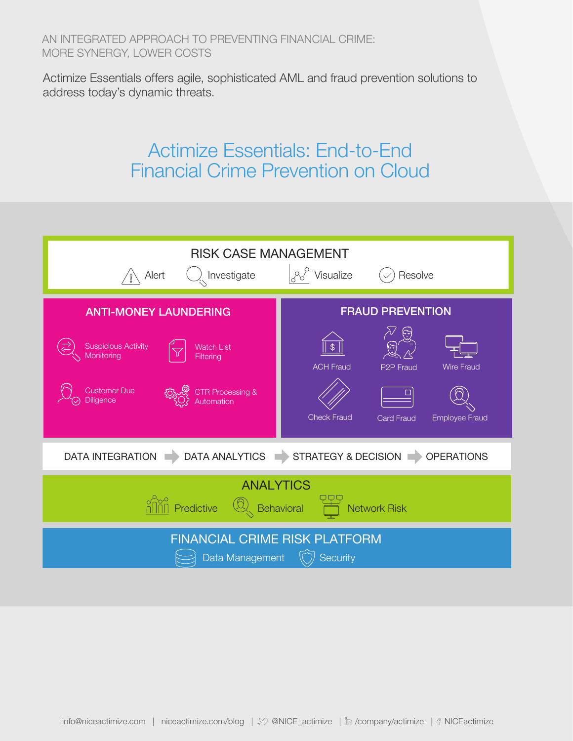AN INTEGRATED APPROACH TO PREVENTING FINANCIAL CRIME: MORE SYNERGY, LOWER COSTS

Actimize Essentials offers agile, sophisticated AML and fraud prevention solutions to address today's dynamic threats.

## Actimize Essentials: End-to-End Financial Crime Prevention on Cloud

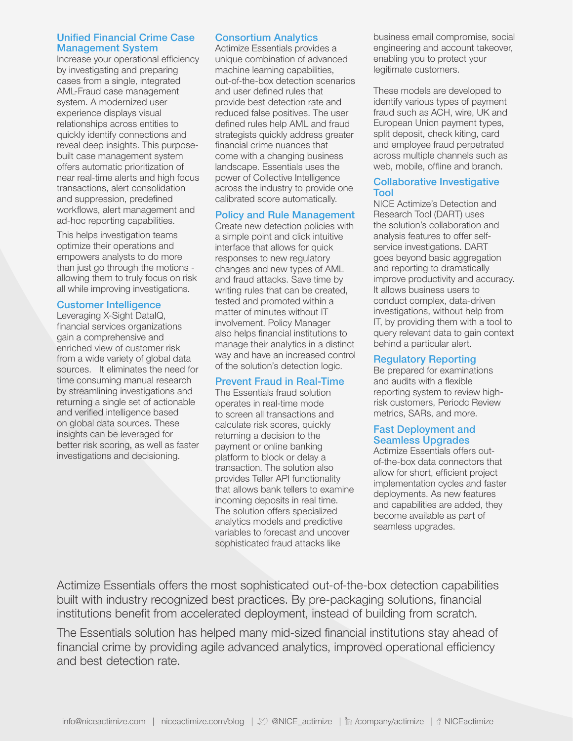#### Unified Financial Crime Case Management System

Increase your operational efficiency by investigating and preparing cases from a single, integrated AML-Fraud case management system. A modernized user experience displays visual relationships across entities to quickly identify connections and reveal deep insights. This purposebuilt case management system offers automatic prioritization of near real-time alerts and high focus transactions, alert consolidation and suppression, predefined workflows, alert management and ad-hoc reporting capabilities.

This helps investigation teams optimize their operations and empowers analysts to do more than just go through the motions allowing them to truly focus on risk all while improving investigations.

#### Customer Intelligence

Leveraging X-Sight DataIQ, financial services organizations gain a comprehensive and enriched view of customer risk from a wide variety of global data sources. It eliminates the need for time consuming manual research by streamlining investigations and returning a single set of actionable and verified intelligence based on global data sources. These insights can be leveraged for better risk scoring, as well as faster investigations and decisioning.

#### Consortium Analytics

Actimize Essentials provides a unique combination of advanced machine learning capabilities, out-of-the-box detection scenarios and user defined rules that provide best detection rate and reduced false positives. The user defined rules help AML and fraud strategists quickly address greater financial crime nuances that come with a changing business landscape. Essentials uses the power of Collective Intelligence across the industry to provide one calibrated score automatically.

#### Policy and Rule Management

Create new detection policies with a simple point and click intuitive interface that allows for quick responses to new regulatory changes and new types of AML and fraud attacks. Save time by writing rules that can be created, tested and promoted within a matter of minutes without IT involvement. Policy Manager also helps financial institutions to manage their analytics in a distinct way and have an increased control of the solution's detection logic.

#### Prevent Fraud in Real-Time

The Essentials fraud solution operates in real-time mode to screen all transactions and calculate risk scores, quickly returning a decision to the payment or online banking platform to block or delay a transaction. The solution also provides Teller API functionality that allows bank tellers to examine incoming deposits in real time. The solution offers specialized analytics models and predictive variables to forecast and uncover sophisticated fraud attacks like

business email compromise, social engineering and account takeover, enabling you to protect your legitimate customers.

These models are developed to identify various types of payment fraud such as ACH, wire, UK and European Union payment types, split deposit, check kiting, card and employee fraud perpetrated across multiple channels such as web, mobile, offline and branch.

#### Collaborative Investigative Tool

NICE Actimize's Detection and Research Tool (DART) uses the solution's collaboration and analysis features to offer selfservice investigations. DART goes beyond basic aggregation and reporting to dramatically improve productivity and accuracy. It allows business users to conduct complex, data-driven investigations, without help from IT, by providing them with a tool to query relevant data to gain context behind a particular alert.

#### Regulatory Reporting

Be prepared for examinations and audits with a flexible reporting system to review highrisk customers, Periodc Review metrics, SARs, and more.

#### Fast Deployment and Seamless Upgrades

Actimize Essentials offers outof-the-box data connectors that allow for short, efficient project implementation cycles and faster deployments. As new features and capabilities are added, they become available as part of seamless upgrades.

Actimize Essentials offers the most sophisticated out-of-the-box detection capabilities built with industry recognized best practices. By pre-packaging solutions, financial institutions benefit from accelerated deployment, instead of building from scratch.

The Essentials solution has helped many mid-sized financial institutions stay ahead of financial crime by providing agile advanced analytics, improved operational efficiency and best detection rate.